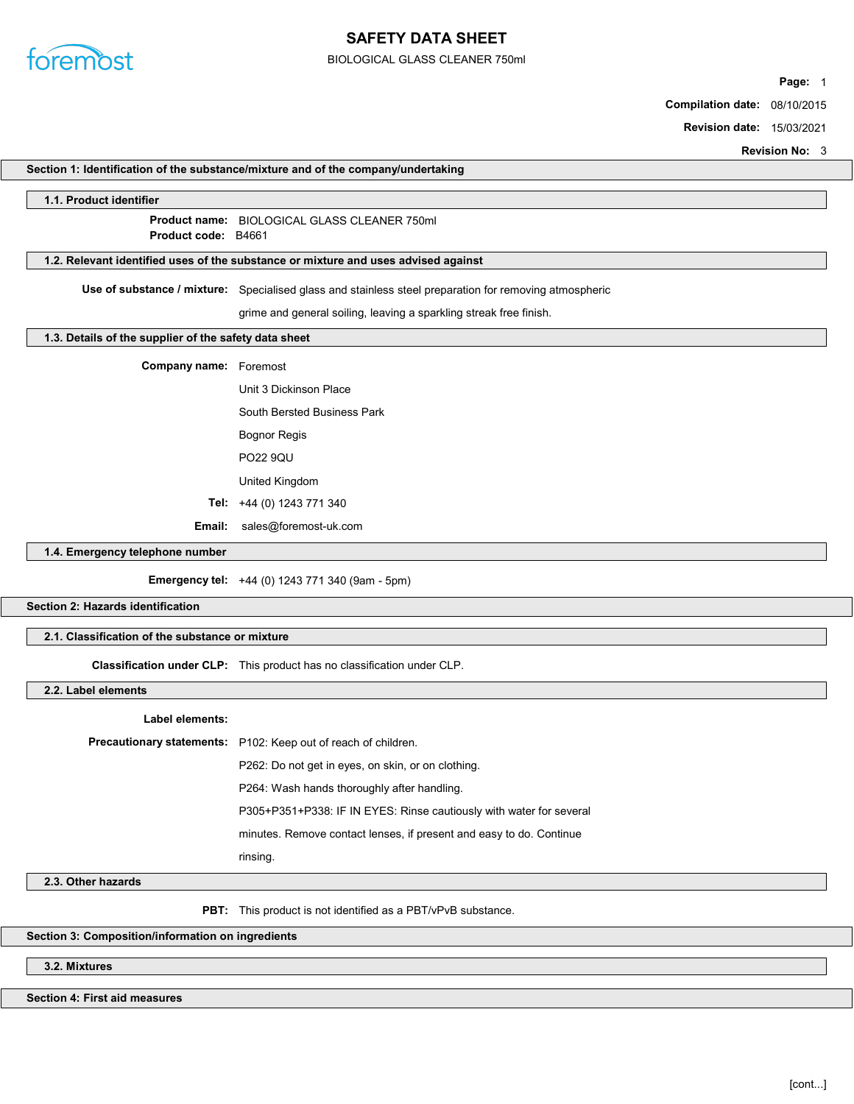

# SAFETY DATA SHEET

BIOLOGICAL GLASS CLEANER 750ml

Page: 1

Compilation date: 08/10/2015

Revision date: 15/03/2021

|                                                                                    |                                                                                                        | <b>Revision No: 3</b> |
|------------------------------------------------------------------------------------|--------------------------------------------------------------------------------------------------------|-----------------------|
|                                                                                    | Section 1: Identification of the substance/mixture and of the company/undertaking                      |                       |
| 1.1. Product identifier                                                            |                                                                                                        |                       |
| Product code: B4661                                                                | Product name: BIOLOGICAL GLASS CLEANER 750ml                                                           |                       |
| 1.2. Relevant identified uses of the substance or mixture and uses advised against |                                                                                                        |                       |
|                                                                                    | Use of substance / mixture: Specialised glass and stainless steel preparation for removing atmospheric |                       |
|                                                                                    | grime and general soiling, leaving a sparkling streak free finish.                                     |                       |
| 1.3. Details of the supplier of the safety data sheet                              |                                                                                                        |                       |
|                                                                                    |                                                                                                        |                       |
| <b>Company name:</b> Foremost                                                      |                                                                                                        |                       |
|                                                                                    | Unit 3 Dickinson Place                                                                                 |                       |
|                                                                                    | South Bersted Business Park                                                                            |                       |
|                                                                                    | <b>Bognor Regis</b>                                                                                    |                       |
|                                                                                    | <b>PO22 9QU</b>                                                                                        |                       |
|                                                                                    | United Kingdom                                                                                         |                       |
|                                                                                    | Tel: +44 (0) 1243 771 340                                                                              |                       |
| Email:                                                                             | sales@foremost-uk.com                                                                                  |                       |
| 1.4. Emergency telephone number                                                    |                                                                                                        |                       |
|                                                                                    | <b>Emergency tel:</b> +44 (0) 1243 771 340 (9am - 5pm)                                                 |                       |
| Section 2: Hazards identification                                                  |                                                                                                        |                       |
| 2.1. Classification of the substance or mixture                                    |                                                                                                        |                       |
|                                                                                    | Classification under CLP: This product has no classification under CLP.                                |                       |
| 2.2. Label elements                                                                |                                                                                                        |                       |
| Label elements:                                                                    |                                                                                                        |                       |
|                                                                                    | Precautionary statements: P102: Keep out of reach of children.                                         |                       |
|                                                                                    | P262: Do not get in eyes, on skin, or on clothing.                                                     |                       |
|                                                                                    | P264: Wash hands thoroughly after handling.                                                            |                       |
|                                                                                    | P305+P351+P338: IF IN EYES: Rinse cautiously with water for several                                    |                       |
|                                                                                    | minutes. Remove contact lenses, if present and easy to do. Continue                                    |                       |
|                                                                                    | rinsing.                                                                                               |                       |
| 2.3. Other hazards                                                                 |                                                                                                        |                       |
|                                                                                    | <b>PBT:</b> This product is not identified as a PBT/vPvB substance.                                    |                       |
| Section 3: Composition/information on ingredients                                  |                                                                                                        |                       |
| 3.2. Mixtures                                                                      |                                                                                                        |                       |

3.2. Mixtures

Section 4: First aid measures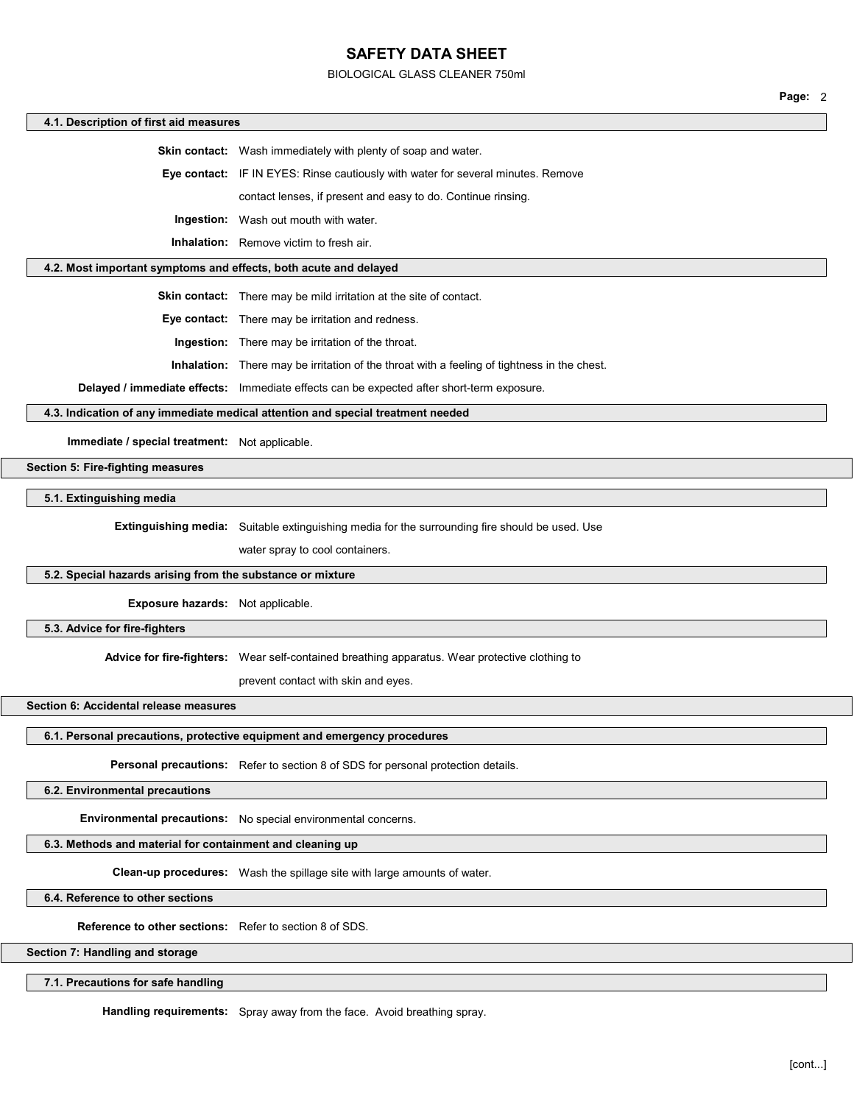### BIOLOGICAL GLASS CLEANER 750ml

Page: 2

|                                                                  |                                                                                                       | Page: 2 |  |
|------------------------------------------------------------------|-------------------------------------------------------------------------------------------------------|---------|--|
| 4.1. Description of first aid measures                           |                                                                                                       |         |  |
|                                                                  | Skin contact: Wash immediately with plenty of soap and water.                                         |         |  |
|                                                                  | Eye contact: IF IN EYES: Rinse cautiously with water for several minutes. Remove                      |         |  |
|                                                                  | contact lenses, if present and easy to do. Continue rinsing.                                          |         |  |
|                                                                  | <b>Ingestion:</b> Wash out mouth with water.                                                          |         |  |
|                                                                  | <b>Inhalation:</b> Remove victim to fresh air.                                                        |         |  |
| 4.2. Most important symptoms and effects, both acute and delayed |                                                                                                       |         |  |
|                                                                  | Skin contact: There may be mild irritation at the site of contact.                                    |         |  |
|                                                                  | Eye contact: There may be irritation and redness.                                                     |         |  |
|                                                                  | Ingestion: There may be irritation of the throat.                                                     |         |  |
|                                                                  | Inhalation: There may be irritation of the throat with a feeling of tightness in the chest.           |         |  |
|                                                                  | Delayed / immediate effects: Immediate effects can be expected after short-term exposure.             |         |  |
|                                                                  | 4.3. Indication of any immediate medical attention and special treatment needed                       |         |  |
| Immediate / special treatment: Not applicable.                   |                                                                                                       |         |  |
| <b>Section 5: Fire-fighting measures</b>                         |                                                                                                       |         |  |
| 5.1. Extinguishing media                                         |                                                                                                       |         |  |
|                                                                  | <b>Extinguishing media:</b> Suitable extinguishing media for the surrounding fire should be used. Use |         |  |
|                                                                  | water spray to cool containers.                                                                       |         |  |
| 5.2. Special hazards arising from the substance or mixture       |                                                                                                       |         |  |
| <b>Exposure hazards:</b> Not applicable.                         |                                                                                                       |         |  |
| 5.3. Advice for fire-fighters                                    |                                                                                                       |         |  |
|                                                                  | Advice for fire-fighters: Wear self-contained breathing apparatus. Wear protective clothing to        |         |  |
|                                                                  | prevent contact with skin and eyes.                                                                   |         |  |
| Section 6: Accidental release measures                           |                                                                                                       |         |  |
|                                                                  | 6.1. Personal precautions, protective equipment and emergency procedures                              |         |  |
|                                                                  |                                                                                                       |         |  |
|                                                                  | Personal precautions: Refer to section 8 of SDS for personal protection details.                      |         |  |
| 6.2. Environmental precautions                                   |                                                                                                       |         |  |
|                                                                  | Environmental precautions: No special environmental concerns.                                         |         |  |
| 6.3. Methods and material for containment and cleaning up        |                                                                                                       |         |  |
|                                                                  | Clean-up procedures: Wash the spillage site with large amounts of water.                              |         |  |
| 6.4. Reference to other sections                                 |                                                                                                       |         |  |
| <b>Reference to other sections:</b> Refer to section 8 of SDS.   |                                                                                                       |         |  |

Section 7: Handling and storage

7.1. Precautions for safe handling

Handling requirements: Spray away from the face. Avoid breathing spray.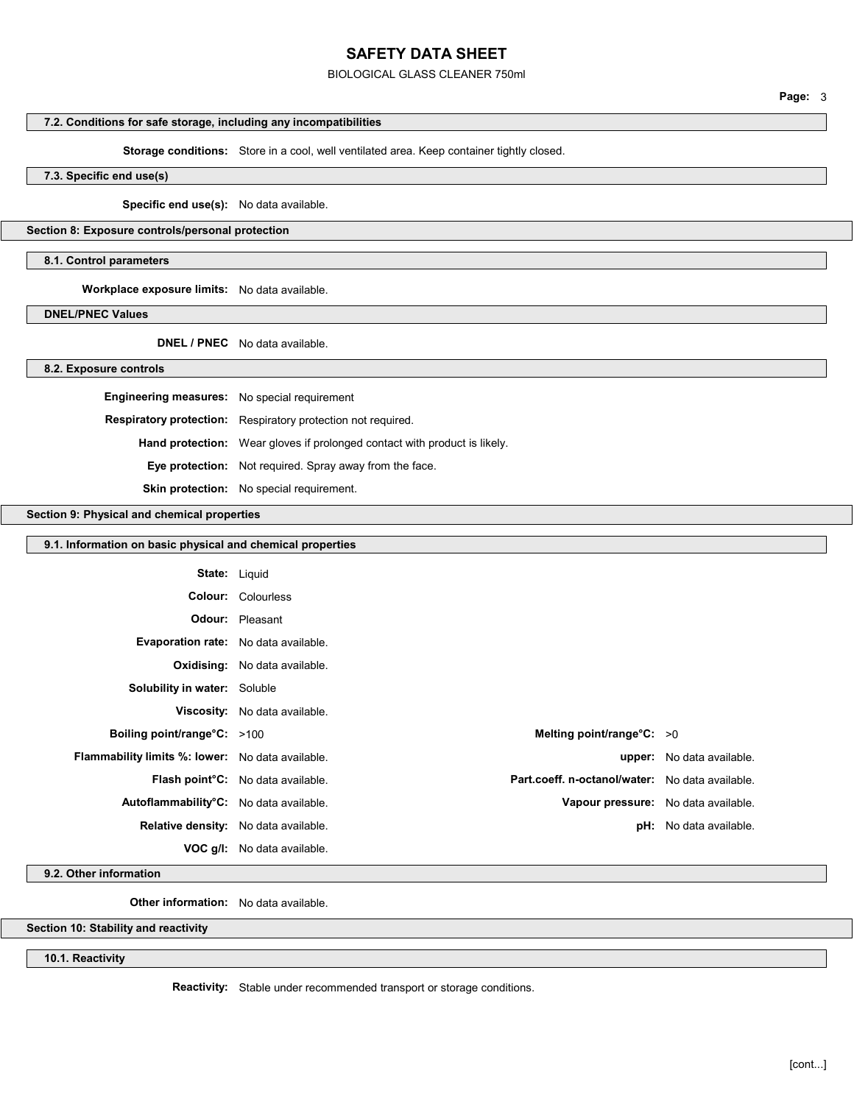BIOLOGICAL GLASS CLEANER 750ml

# 7.2. Conditions for safe storage, including any incompatibilities

Storage conditions: Store in a cool, well ventilated area. Keep container tightly closed.

7.3. Specific end use(s)

Specific end use(s): No data available.

### Section 8: Exposure controls/personal protection

#### 8.1. Control parameters

Workplace exposure limits: No data available.

DNEL/PNEC Values

DNEL / PNEC No data available.

#### 8.2. Exposure controls

| <b>Engineering measures:</b> No special requirement |                                                                                  |
|-----------------------------------------------------|----------------------------------------------------------------------------------|
|                                                     | <b>Respiratory protection:</b> Respiratory protection not required.              |
|                                                     | <b>Hand protection:</b> Wear gloves if prolonged contact with product is likely. |
|                                                     | <b>Eye protection:</b> Not required. Spray away from the face.                   |
|                                                     | <b>Skin protection:</b> No special requirement.                                  |

### Section 9: Physical and chemical properties

### 9.1. Information on basic physical and chemical properties

| <b>State:</b> Liquid                                    |                                                                                                   |                                     |
|---------------------------------------------------------|---------------------------------------------------------------------------------------------------|-------------------------------------|
|                                                         | <b>Colour:</b> Colourless                                                                         |                                     |
|                                                         | <b>Odour:</b> Pleasant                                                                            |                                     |
| <b>Evaporation rate:</b> No data available.             |                                                                                                   |                                     |
|                                                         | Oxidising: No data available.                                                                     |                                     |
| Solubility in water: Soluble                            |                                                                                                   |                                     |
|                                                         | <b>Viscosity:</b> No data available.                                                              |                                     |
| Boiling point/range°C: >100                             | Melting point/range $°C: >0$                                                                      |                                     |
| <b>Flammability limits %: lower:</b> No data available. |                                                                                                   | <b>upper:</b> No data available.    |
|                                                         | Part.coeff. n-octanol/water: No data available.<br>Flash point <sup>°</sup> C: No data available. |                                     |
| Autoflammability°C: No data available.                  |                                                                                                   | Vapour pressure: No data available. |
|                                                         | Relative density: No data available.                                                              | <b>pH:</b> No data available.       |
|                                                         | <b>VOC g/l:</b> No data available.                                                                |                                     |

### 9.2. Other information

Other information: No data available.

Section 10: Stability and reactivity

10.1. Reactivity

Reactivity: Stable under recommended transport or storage conditions.

[cont...]

Page: 3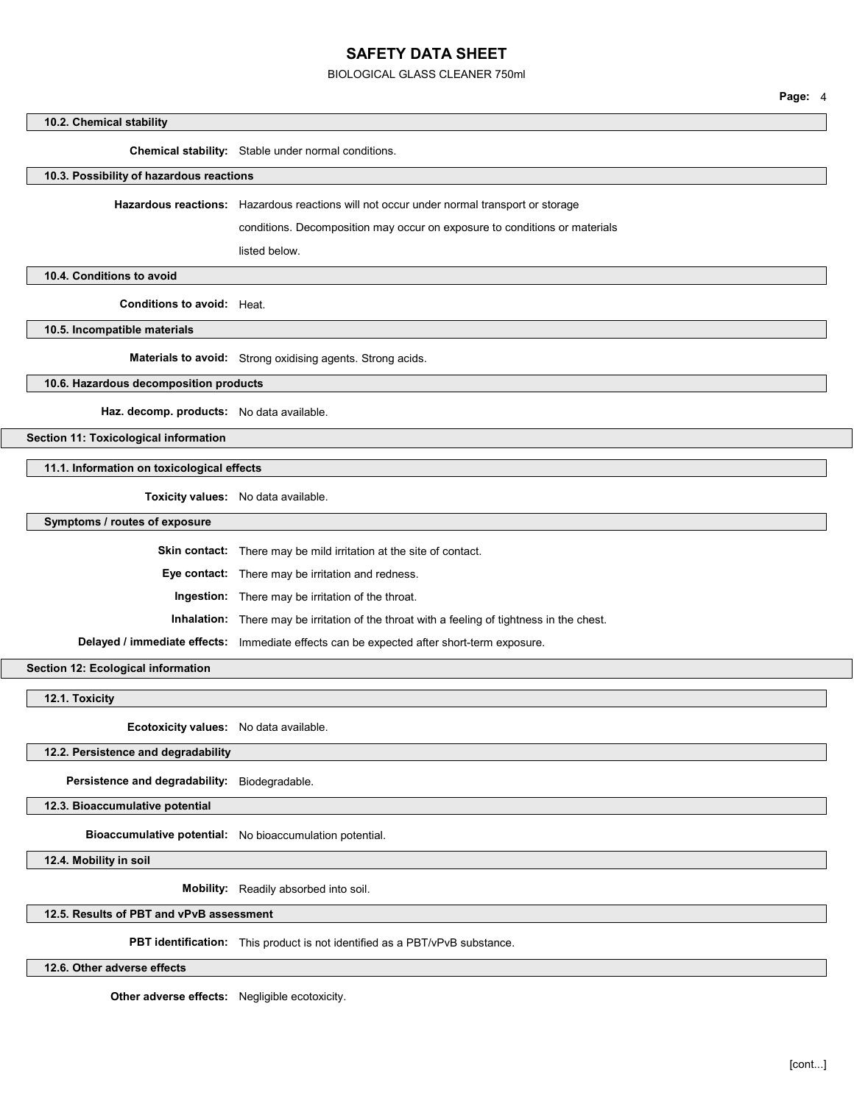BIOLOGICAL GLASS CLEANER 750ml

Page: 4

#### 10.2. Chemical stability

Chemical stability: Stable under normal conditions.

10.3. Possibility of hazardous reactions

Hazardous reactions: Hazardous reactions will not occur under normal transport or storage

conditions. Decomposition may occur on exposure to conditions or materials

listed below.

10.4. Conditions to avoid

Conditions to avoid: Heat.

10.5. Incompatible materials

Materials to avoid: Strong oxidising agents. Strong acids.

10.6. Hazardous decomposition products

Haz. decomp. products: No data available.

Section 11: Toxicological information

11.1. Information on toxicological effects

Toxicity values: No data available.

Symptoms / routes of exposure

Skin contact: There may be mild irritation at the site of contact.

Eye contact: There may be irritation and redness.

Ingestion: There may be irritation of the throat.

Inhalation: There may be irritation of the throat with a feeling of tightness in the chest.

Delayed / immediate effects: Immediate effects can be expected after short-term exposure.

Section 12: Ecological information

12.1. Toxicity

Ecotoxicity values: No data available.

12.2. Persistence and degradability

Persistence and degradability: Biodegradable.

12.3. Bioaccumulative potential

Bioaccumulative potential: No bioaccumulation potential.

12.4. Mobility in soil

Mobility: Readily absorbed into soil.

12.5. Results of PBT and vPvB assessment

PBT identification: This product is not identified as a PBT/vPvB substance.

12.6. Other adverse effects

Other adverse effects: Negligible ecotoxicity.